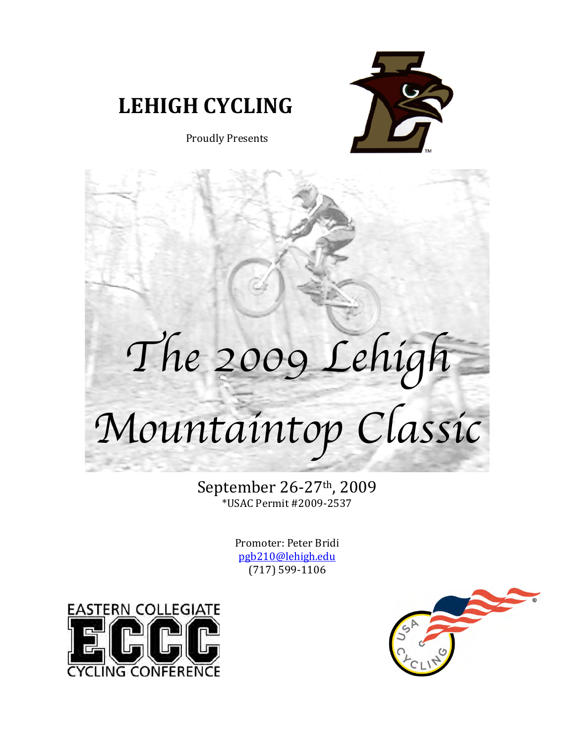

## **LEHIGH!CYCLING**

Proudly Presents

## *The 2009 Lehigh*

# *Mountaintop Classic*

September 26-27<sup>th</sup>, 2009 \*USAC Permit #2009-2537

> Promoter: Peter Bridi pgb210@lehigh.edu (717) 599-1106



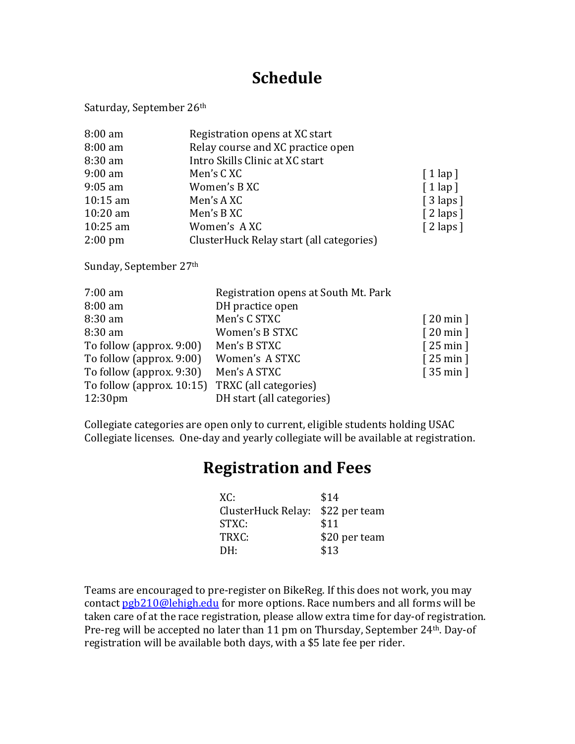## **Schedule**

Saturday, September 26th

| 8:00 am    | Registration opens at XC start           |                         |
|------------|------------------------------------------|-------------------------|
| $8:00$ am  | Relay course and XC practice open        |                         |
| 8:30 am    | Intro Skills Clinic at XC start          |                         |
| $9:00$ am  | Men's CXC                                | $\lceil 1 \lg p \rceil$ |
| $9:05$ am  | Women's B XC                             | $\lceil 1 \lg p \rceil$ |
| $10:15$ am | Men's AXC                                | $\lceil 3 \rceil$       |
| $10:20$ am | Men's B XC                               | $\lceil 2 \rceil$       |
| $10:25$ am | Women's AXC                              | $\lceil 2 \rceil$       |
| $2:00$ pm  | ClusterHuck Relay start (all categories) |                         |

Sunday, September 27th

| $7:00$ am                                       | Registration opens at South Mt. Park |          |
|-------------------------------------------------|--------------------------------------|----------|
| 8:00 am                                         | DH practice open                     |          |
| $8:30$ am                                       | Men's C STXC                         | [20 min] |
| $8:30$ am                                       | Women's B STXC                       | [20 min] |
| To follow (approx. 9:00)                        | Men's B STXC                         | [25 min] |
| To follow (approx. 9:00)                        | Women's A STXC                       | [25 min] |
| To follow (approx. 9:30)                        | Men's A STXC                         | [35 min] |
| To follow (approx. 10:15) TRXC (all categories) |                                      |          |
| 12:30 <sub>pm</sub>                             | DH start (all categories)            |          |

Collegiate categories are open only to current, eligible students holding USAC Collegiate licenses. One-day and yearly collegiate will be available at registration.

## **Registration!and!Fees**

| XC:                              | \$14          |
|----------------------------------|---------------|
| ClusterHuck Relay: \$22 per team |               |
| STXC:                            | \$11          |
| TRXC:                            | \$20 per team |
| DH:                              | \$13          |

Teams are encouraged to pre-register on BikeReg. If this does not work, you may contact pgb210@lehigh.edu for more options. Race numbers and all forms will be taken care of at the race registration, please allow extra time for day-of registration. Pre-reg will be accepted no later than 11 pm on Thursday, September 24<sup>th</sup>. Day-of registration will be available both days, with a \$5 late fee per rider.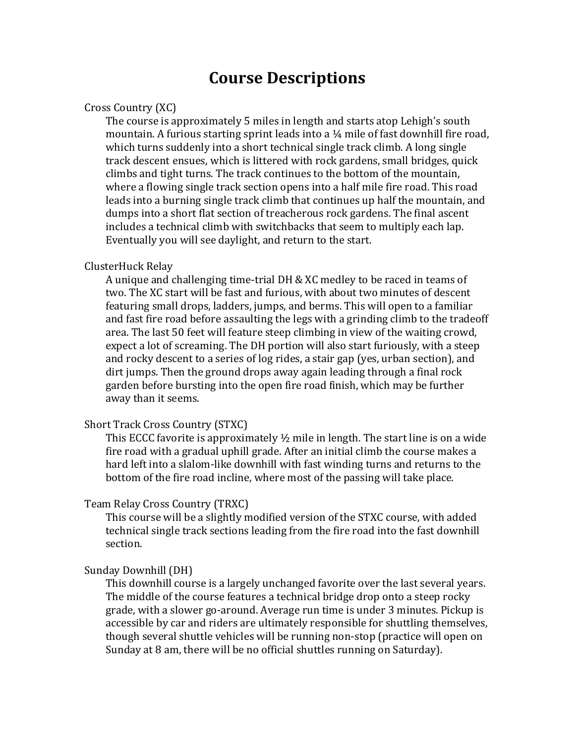### **Course!Descriptions**

#### Cross Country (XC)

The course is approximately 5 miles in length and starts atop Lehigh's south mountain. A furious starting sprint leads into a  $\frac{1}{4}$  mile of fast downhill fire road, which turns suddenly into a short technical single track climb. A long single track descent ensues, which is littered with rock gardens, small bridges, quick climbs and tight turns. The track continues to the bottom of the mountain, where a flowing single track section opens into a half mile fire road. This road leads into a burning single track climb that continues up half the mountain, and dumps into a short flat section of treacherous rock gardens. The final ascent includes a technical climb with switchbacks that seem to multiply each lap. Eventually you will see daylight, and return to the start.

#### ClusterHuck!Relay

A unique and challenging time-trial DH  $&$  XC medley to be raced in teams of two. The XC start will be fast and furious, with about two minutes of descent featuring small drops, ladders, jumps, and berms. This will open to a familiar and fast fire road before assaulting the legs with a grinding climb to the tradeoff area. The last 50 feet will feature steep climbing in view of the waiting crowd, expect a lot of screaming. The DH portion will also start furiously, with a steep and rocky descent to a series of log rides, a stair gap (yes, urban section), and dirt jumps. Then the ground drops away again leading through a final rock garden before bursting into the open fire road finish, which may be further away than it seems.

#### Short Track Cross Country (STXC)

This ECCC favorite is approximately  $\frac{1}{2}$  mile in length. The start line is on a wide fire road with a gradual uphill grade. After an initial climb the course makes a hard left into a slalom-like downhill with fast winding turns and returns to the bottom of the fire road incline, where most of the passing will take place.

#### Team Relay Cross Country (TRXC)

This course will be a slightly modified version of the STXC course, with added technical single track sections leading from the fire road into the fast downhill section.

#### Sunday Downhill (DH)

This downhill course is a largely unchanged favorite over the last several years. The middle of the course features a technical bridge drop onto a steep rocky grade, with a slower go-around. Average run time is under 3 minutes. Pickup is accessible by car and riders are ultimately responsible for shuttling themselves, though several shuttle vehicles will be running non-stop (practice will open on Sunday at 8 am, there will be no official shuttles running on Saturday).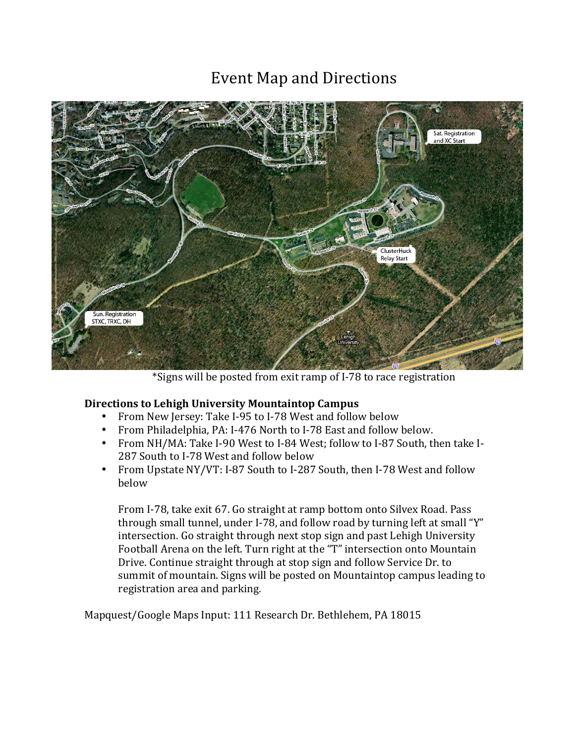## Event Map and Directions



\*Signs will be posted from exit ramp of I-78 to race registration

#### **Directions to Lehigh University Mountaintop Campus**

- From New Jersey: Take I-95 to I-78 West and follow below
- From Philadelphia, PA: I-476 North to I-78 East and follow below.
- From NH/MA: Take I-90 West to I-84 West; follow to I-87 South, then take I-287 South to I-78 West and follow below
- From Upstate NY/VT: I-87 South to I-287 South, then I-78 West and follow below

From I-78, take exit 67. Go straight at ramp bottom onto Silvex Road. Pass through small tunnel, under I-78, and follow road by turning left at small "Y" intersection. Go straight through next stop sign and past Lehigh University Football Arena on the left. Turn right at the "T" intersection onto Mountain Drive. Continue straight through at stop sign and follow Service Dr. to summit of mountain. Signs will be posted on Mountaintop campus leading to registration area and parking.

Mapquest/Google Maps Input: 111 Research Dr. Bethlehem, PA 18015